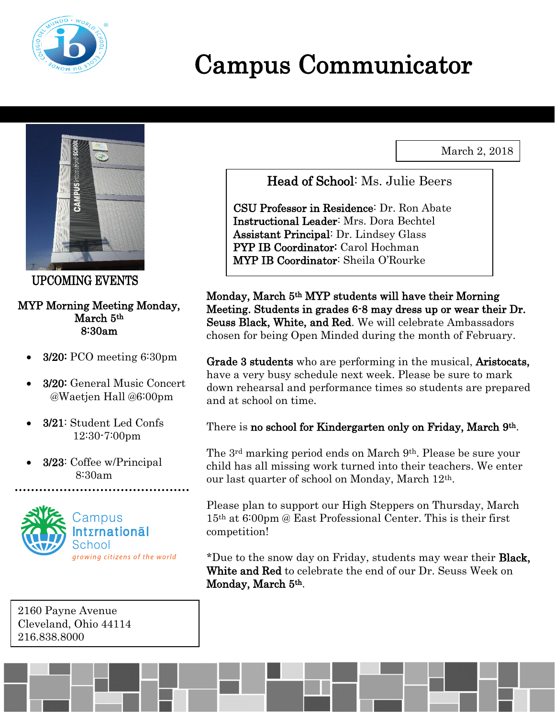

# Campus Communicator

March 2, 2018



UPCOMING EVENTS

#### MYP Morning Meeting Monday, March 5th 8:30am

- 3/20: PCO meeting 6:30pm
- 3/20: General Music Concert @Waetjen Hall @6:00pm
- 3/21: Student Led Confs 12:30-7:00pm
- 3/23: Coffee w/Principal 8:30am



2160 Payne Avenue Cleveland, Ohio 44114 216.838.8000

Head of School: Ms. Julie Beers

CSU Professor in Residence: Dr. Ron Abate Instructional Leader: Mrs. Dora Bechtel Assistant Principal: Dr. Lindsey Glass PYP IB Coordinator: Carol Hochman MYP IB Coordinator: Sheila O'Rourke

Monday, March 5th MYP students will have their Morning Meeting. Students in grades 6-8 may dress up or wear their Dr. Seuss Black, White, and Red. We will celebrate Ambassadors chosen for being Open Minded during the month of February.

Grade 3 students who are performing in the musical, Aristocats, have a very busy schedule next week. Please be sure to mark down rehearsal and performance times so students are prepared and at school on time.

#### There is no school for Kindergarten only on Friday, March 9<sup>th</sup>.

The 3rd marking period ends on March 9th. Please be sure your child has all missing work turned into their teachers. We enter our last quarter of school on Monday, March 12th.

Please plan to support our High Steppers on Thursday, March 15th at 6:00pm @ East Professional Center. This is their first competition!

\*Due to the snow day on Friday, students may wear their Black, White and Red to celebrate the end of our Dr. Seuss Week on Monday, March 5<sup>th</sup>.